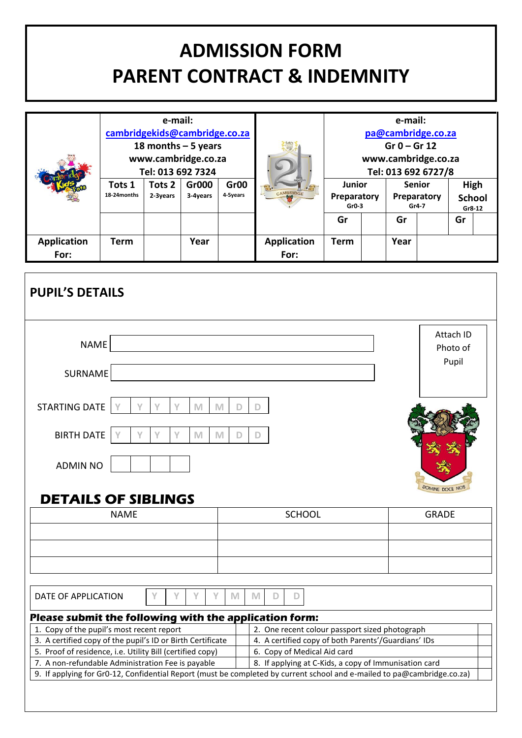# **ADMISSION FORM PARENT CONTRACT & INDEMNITY**

|                            | e-mail:<br>cambridgekids@cambridge.co.za<br>18 months $-5$ years<br>www.cambridge.co.za<br>Tel: 013 692 7324 |                    |                   |                              |                                                             | e-mail:<br>pa@cambridge.co.za<br>$Gr 0 - Gr 12$<br>www.cambridge.co.za<br>Tel: 013 692 6727/8 |  |      |                                       |    |                                 |
|----------------------------|--------------------------------------------------------------------------------------------------------------|--------------------|-------------------|------------------------------|-------------------------------------------------------------|-----------------------------------------------------------------------------------------------|--|------|---------------------------------------|----|---------------------------------|
|                            | Tots 1<br>18-24 months                                                                                       | Tots 2<br>2-3years | Gr000<br>3-4years | Gr <sub>00</sub><br>4-5years | $\cdot$ $\mathbb{R}$ -<br>$\frac{1}{\sqrt{2}}$<br>CAMBRIDGE | Junior<br>Preparatory<br>$Gr0-3$                                                              |  |      | <b>Senior</b><br>Preparatory<br>Gr4-7 |    | High<br><b>School</b><br>Gr8-12 |
|                            |                                                                                                              |                    |                   |                              |                                                             | Gr                                                                                            |  | Gr   |                                       | Gr |                                 |
| <b>Application</b><br>For: | Term                                                                                                         |                    | Year              |                              | <b>Application</b><br>For:                                  | Term                                                                                          |  | Year |                                       |    |                                 |

| <b>PUPIL'S DETAILS</b>                                                                                                                        |             |        |                                                                                                                                                                                  |                                |  |  |
|-----------------------------------------------------------------------------------------------------------------------------------------------|-------------|--------|----------------------------------------------------------------------------------------------------------------------------------------------------------------------------------|--------------------------------|--|--|
| <b>NAME</b>                                                                                                                                   |             |        |                                                                                                                                                                                  | Attach ID<br>Photo of<br>Pupil |  |  |
| <b>SURNAME</b><br><b>STARTING DATE</b>                                                                                                        |             | M      |                                                                                                                                                                                  |                                |  |  |
| <b>BIRTH DATE</b><br>٧                                                                                                                        | Υ<br>Y<br>M | M<br>D | D                                                                                                                                                                                |                                |  |  |
| <b>ADMIN NO</b><br><b>DETAILS OF SIBLINGS</b>                                                                                                 |             |        |                                                                                                                                                                                  | DOMINE DOCE NOT                |  |  |
| <b>NAME</b>                                                                                                                                   |             |        | <b>SCHOOL</b>                                                                                                                                                                    | <b>GRADE</b>                   |  |  |
|                                                                                                                                               |             |        |                                                                                                                                                                                  |                                |  |  |
|                                                                                                                                               |             |        |                                                                                                                                                                                  |                                |  |  |
|                                                                                                                                               |             |        |                                                                                                                                                                                  |                                |  |  |
| DATE OF APPLICATION                                                                                                                           | v           | M      | M<br>D<br>D                                                                                                                                                                      |                                |  |  |
| Please submit the following with the application form:                                                                                        |             |        |                                                                                                                                                                                  |                                |  |  |
| 1. Copy of the pupil's most recent report                                                                                                     |             |        | 2. One recent colour passport sized photograph                                                                                                                                   |                                |  |  |
| 3. A certified copy of the pupil's ID or Birth Certificate                                                                                    |             |        | 4. A certified copy of both Parents'/Guardians' IDs                                                                                                                              |                                |  |  |
| 5. Proof of residence, i.e. Utility Bill (certified copy)<br>6. Copy of Medical Aid card<br>7. A non-refundable Administration Fee is payable |             |        |                                                                                                                                                                                  |                                |  |  |
|                                                                                                                                               |             |        | 8. If applying at C-Kids, a copy of Immunisation card<br>9. If applying for Gr0-12, Confidential Report (must be completed by current school and e-mailed to pa@cambridge.co.za) |                                |  |  |
|                                                                                                                                               |             |        |                                                                                                                                                                                  |                                |  |  |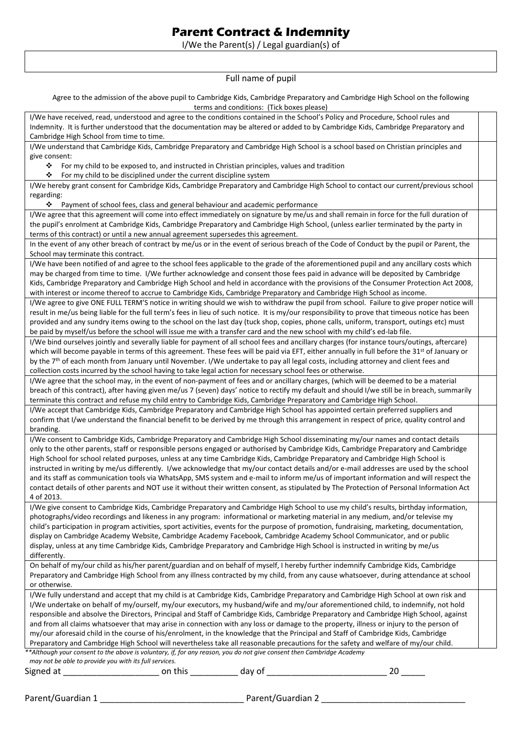# **Parent Contract & Indemnity**

I/We the Parent(s) / Legal guardian(s) of

Full name of pupil

Agree to the admission of the above pupil to Cambridge Kids, Cambridge Preparatory and Cambridge High School on the following terms and conditions: (Tick boxes please)

| terms and conditions. They boxes prease)                                                                                                                                        |  |
|---------------------------------------------------------------------------------------------------------------------------------------------------------------------------------|--|
| I/We have received, read, understood and agree to the conditions contained in the School's Policy and Procedure, School rules and                                               |  |
| Indemnity. It is further understood that the documentation may be altered or added to by Cambridge Kids, Cambridge Preparatory and                                              |  |
| Cambridge High School from time to time.                                                                                                                                        |  |
| I/We understand that Cambridge Kids, Cambridge Preparatory and Cambridge High School is a school based on Christian principles and                                              |  |
| give consent:                                                                                                                                                                   |  |
| ❖<br>For my child to be exposed to, and instructed in Christian principles, values and tradition                                                                                |  |
| ❖<br>For my child to be disciplined under the current discipline system                                                                                                         |  |
| I/We hereby grant consent for Cambridge Kids, Cambridge Preparatory and Cambridge High School to contact our current/previous school                                            |  |
| regarding:                                                                                                                                                                      |  |
| Payment of school fees, class and general behaviour and academic performance<br>❖                                                                                               |  |
| I/We agree that this agreement will come into effect immediately on signature by me/us and shall remain in force for the full duration of                                       |  |
| the pupil's enrolment at Cambridge Kids, Cambridge Preparatory and Cambridge High School, (unless earlier terminated by the party in                                            |  |
| terms of this contract) or until a new annual agreement supersedes this agreement.                                                                                              |  |
| In the event of any other breach of contract by me/us or in the event of serious breach of the Code of Conduct by the pupil or Parent, the                                      |  |
| School may terminate this contract.                                                                                                                                             |  |
| I/We have been notified of and agree to the school fees applicable to the grade of the aforementioned pupil and any ancillary costs which                                       |  |
| may be charged from time to time. I/We further acknowledge and consent those fees paid in advance will be deposited by Cambridge                                                |  |
| Kids, Cambridge Preparatory and Cambridge High School and held in accordance with the provisions of the Consumer Protection Act 2008,                                           |  |
| with interest or income thereof to accrue to Cambridge Kids, Cambridge Preparatory and Cambridge High School as income.                                                         |  |
| I/We agree to give ONE FULL TERM'S notice in writing should we wish to withdraw the pupil from school. Failure to give proper notice will                                       |  |
| result in me/us being liable for the full term's fees in lieu of such notice. It is my/our responsibility to prove that timeous notice has been                                 |  |
| provided and any sundry items owing to the school on the last day (tuck shop, copies, phone calls, uniform, transport, outings etc) must                                        |  |
| be paid by myself/us before the school will issue me with a transfer card and the new school with my child's ed-lab file.                                                       |  |
| I/We bind ourselves jointly and severally liable for payment of all school fees and ancillary charges (for instance tours/outings, aftercare)                                   |  |
| which will become payable in terms of this agreement. These fees will be paid via EFT, either annually in full before the 31st of January or                                    |  |
| by the 7th of each month from January until November. I/We undertake to pay all legal costs, including attorney and client fees and                                             |  |
| collection costs incurred by the school having to take legal action for necessary school fees or otherwise.                                                                     |  |
| I/We agree that the school may, in the event of non-payment of fees and or ancillary charges, (which will be deemed to be a material                                            |  |
| breach of this contract), after having given me/us 7 (seven) days' notice to rectify my default and should I/we still be in breach, summarily                                   |  |
| terminate this contract and refuse my child entry to Cambridge Kids, Cambridge Preparatory and Cambridge High School.                                                           |  |
| I/We accept that Cambridge Kids, Cambridge Preparatory and Cambridge High School has appointed certain preferred suppliers and                                                  |  |
| confirm that I/we understand the financial benefit to be derived by me through this arrangement in respect of price, quality control and                                        |  |
| branding.                                                                                                                                                                       |  |
| I/We consent to Cambridge Kids, Cambridge Preparatory and Cambridge High School disseminating my/our names and contact details                                                  |  |
| only to the other parents, staff or responsible persons engaged or authorised by Cambridge Kids, Cambridge Preparatory and Cambridge                                            |  |
| High School for school related purposes, unless at any time Cambridge Kids, Cambridge Preparatory and Cambridge High School is                                                  |  |
| instructed in writing by me/us differently. I/we acknowledge that my/our contact details and/or e-mail addresses are used by the school                                         |  |
| and its staff as communication tools via WhatsApp, SMS system and e-mail to inform me/us of important information and will respect the                                          |  |
| contact details of other parents and NOT use it without their written consent, as stipulated by The Protection of Personal Information Act                                      |  |
| 4 of 2013.                                                                                                                                                                      |  |
| I/We give consent to Cambridge Kids, Cambridge Preparatory and Cambridge High School to use my child's results, birthday information,                                           |  |
| photographs/video recordings and likeness in any program: informational or marketing material in any medium, and/or televise my                                                 |  |
| child's participation in program activities, sport activities, events for the purpose of promotion, fundraising, marketing, documentation,                                      |  |
| display on Cambridge Academy Website, Cambridge Academy Facebook, Cambridge Academy School Communicator, and or public                                                          |  |
| display, unless at any time Cambridge Kids, Cambridge Preparatory and Cambridge High School is instructed in writing by me/us                                                   |  |
| differently.                                                                                                                                                                    |  |
| On behalf of my/our child as his/her parent/guardian and on behalf of myself, I hereby further indemnify Cambridge Kids, Cambridge                                              |  |
| Preparatory and Cambridge High School from any illness contracted by my child, from any cause whatsoever, during attendance at school                                           |  |
|                                                                                                                                                                                 |  |
| or otherwise.                                                                                                                                                                   |  |
| I/We fully understand and accept that my child is at Cambridge Kids, Cambridge Preparatory and Cambridge High School at own risk and                                            |  |
| I/We undertake on behalf of my/ourself, my/our executors, my husband/wife and my/our aforementioned child, to indemnify, not hold                                               |  |
| responsible and absolve the Directors, Principal and Staff of Cambridge Kids, Cambridge Preparatory and Cambridge High School, against                                          |  |
| and from all claims whatsoever that may arise in connection with any loss or damage to the property, illness or injury to the person of                                         |  |
| my/our aforesaid child in the course of his/enrolment, in the knowledge that the Principal and Staff of Cambridge Kids, Cambridge                                               |  |
| Preparatory and Cambridge High School will nevertheless take all reasonable precautions for the safety and welfare of my/our child.                                             |  |
| **Although your consent to the above is voluntary, if, for any reason, you do not give consent then Cambridge Academy<br>may not be able to provide you with its full services. |  |
| 20                                                                                                                                                                              |  |
| day of<br>Signed at<br>on this                                                                                                                                                  |  |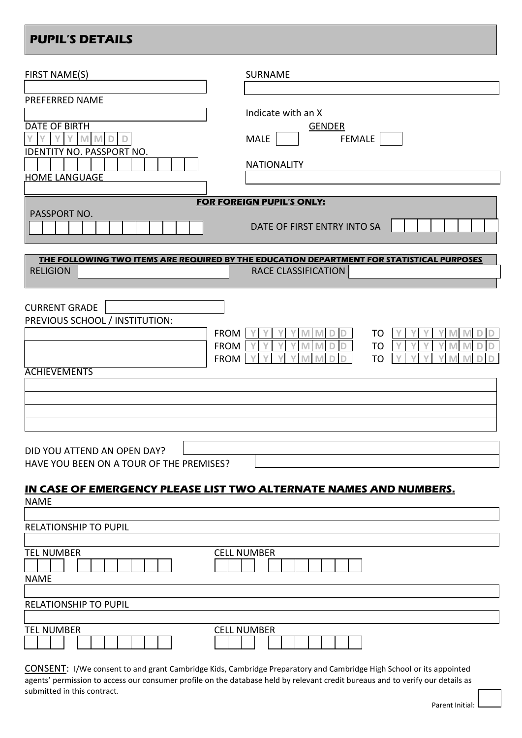# **PUPIL'S DETAILS**

| FIRST NAME(S)                                                                                                          | <b>SURNAME</b>                                                                                                   |
|------------------------------------------------------------------------------------------------------------------------|------------------------------------------------------------------------------------------------------------------|
| PREFERRED NAME<br><b>DATE OF BIRTH</b><br>$\vee$<br>$\vee$<br><b>IDENTITY NO. PASSPORT NO.</b><br><b>HOME LANGUAGE</b> | Indicate with an X<br><b>GENDER</b><br><b>FEMALE</b><br><b>MALE</b><br><b>NATIONALITY</b>                        |
| PASSPORT NO.                                                                                                           | FOR FOREIGN PUPIL'S ONLY:<br>DATE OF FIRST ENTRY INTO SA                                                         |
| <b>RELIGION</b>                                                                                                        | THE FOLLOWING TWO ITEMS ARE REQUIRED BY THE EDUCATION DEPARTMENT FOR STATISTICAL PURPOSES<br>RACE CLASSIFICATION |
| <b>CURRENT GRADE</b><br>PREVIOUS SCHOOL / INSTITUTION:<br><b>ACHIEVEMENTS</b>                                          | <b>FROM</b><br>T <sub>O</sub><br><b>FROM</b><br>T <sub>O</sub><br><b>FROM</b><br><b>TO</b>                       |
| DID YOU ATTEND AN OPEN DAY?<br>HAVE YOU BEEN ON A TOUR OF THE PREMISES?                                                |                                                                                                                  |
| <b>NAME</b>                                                                                                            | IN CASE OF EMERGENCY PLEASE LIST TWO ALTERNATE NAMES AND NUMBERS.                                                |
| <b>RELATIONSHIP TO PUPIL</b>                                                                                           |                                                                                                                  |
| <b>TEL NUMBER</b><br><b>NAME</b>                                                                                       | <b>CELL NUMBER</b>                                                                                               |
| <b>RELATIONSHIP TO PUPIL</b>                                                                                           |                                                                                                                  |
| <b>TEL NUMBER</b>                                                                                                      | <b>CELL NUMBER</b>                                                                                               |

CONSENT: I/We consent to and grant Cambridge Kids, Cambridge Preparatory and Cambridge High School or its appointed agents' permission to access our consumer profile on the database held by relevant credit bureaus and to verify our details as submitted in this contract.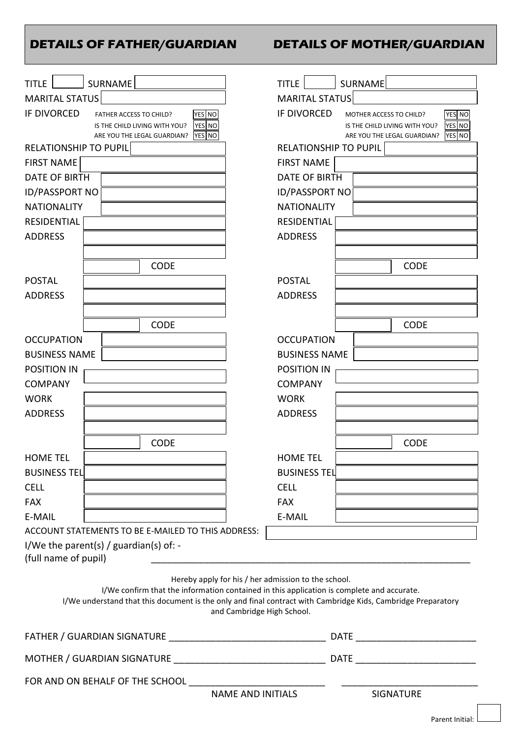# **DETAILS OF FATHER/GUARDIAN DETAILS OF MOTHER/GUARDIAN**

| SURNAME<br><b>TITLE</b>                                                                                                                                                                                   | <b>SURNAME</b><br><b>TITLE</b>                                        |
|-----------------------------------------------------------------------------------------------------------------------------------------------------------------------------------------------------------|-----------------------------------------------------------------------|
| <b>MARITAL STATUS</b>                                                                                                                                                                                     | <b>MARITAL STATUS</b>                                                 |
| IF DIVORCED<br>YES NO<br>FATHER ACCESS TO CHILD?                                                                                                                                                          | <b>IF DIVORCED</b><br>YES NO<br>MOTHER ACCESS TO CHILD?               |
| <b>YES NO</b><br>IS THE CHILD LIVING WITH YOU?                                                                                                                                                            | YES NO<br>IS THE CHILD LIVING WITH YOU?                               |
| YES NO<br>ARE YOU THE LEGAL GUARDIAN?<br><b>RELATIONSHIP TO PUPIL</b>                                                                                                                                     | YES NO<br>ARE YOU THE LEGAL GUARDIAN?<br><b>RELATIONSHIP TO PUPIL</b> |
| <b>FIRST NAME</b>                                                                                                                                                                                         | <b>FIRST NAME</b>                                                     |
| <b>DATE OF BIRTH</b>                                                                                                                                                                                      | <b>DATE OF BIRTH</b>                                                  |
| <b>ID/PASSPORT NO</b>                                                                                                                                                                                     | <b>ID/PASSPORT NO</b>                                                 |
| <b>NATIONALITY</b>                                                                                                                                                                                        | <b>NATIONALITY</b>                                                    |
| <b>RESIDENTIAL</b>                                                                                                                                                                                        | <b>RESIDENTIAL</b>                                                    |
| <b>ADDRESS</b>                                                                                                                                                                                            | <b>ADDRESS</b>                                                        |
|                                                                                                                                                                                                           |                                                                       |
| <b>CODE</b>                                                                                                                                                                                               | <b>CODE</b>                                                           |
| <b>POSTAL</b>                                                                                                                                                                                             | <b>POSTAL</b>                                                         |
| <b>ADDRESS</b>                                                                                                                                                                                            | <b>ADDRESS</b>                                                        |
|                                                                                                                                                                                                           |                                                                       |
| <b>CODE</b>                                                                                                                                                                                               | <b>CODE</b>                                                           |
| <b>OCCUPATION</b>                                                                                                                                                                                         | <b>OCCUPATION</b>                                                     |
| <b>BUSINESS NAME</b>                                                                                                                                                                                      | <b>BUSINESS NAME</b>                                                  |
| <b>POSITION IN</b>                                                                                                                                                                                        | <b>POSITION IN</b>                                                    |
| <b>COMPANY</b>                                                                                                                                                                                            | <b>COMPANY</b>                                                        |
| <b>WORK</b>                                                                                                                                                                                               | <b>WORK</b>                                                           |
| <b>ADDRESS</b>                                                                                                                                                                                            | <b>ADDRESS</b>                                                        |
|                                                                                                                                                                                                           |                                                                       |
| <b>CODE</b>                                                                                                                                                                                               | <b>CODE</b>                                                           |
| <b>HOME TEL</b>                                                                                                                                                                                           | <b>HOME TEL</b>                                                       |
| <b>BUSINESS TEL</b>                                                                                                                                                                                       | <b>BUSINESS TEL</b>                                                   |
| <b>CELL</b>                                                                                                                                                                                               | <b>CELL</b>                                                           |
| <b>FAX</b>                                                                                                                                                                                                | <b>FAX</b>                                                            |
| E-MAIL                                                                                                                                                                                                    | E-MAIL                                                                |
| ACCOUNT STATEMENTS TO BE E-MAILED TO THIS ADDRESS:                                                                                                                                                        |                                                                       |
| I/We the parent(s) / guardian(s) of: -<br>(full name of pupil)                                                                                                                                            |                                                                       |
|                                                                                                                                                                                                           |                                                                       |
| Hereby apply for his / her admission to the school.                                                                                                                                                       |                                                                       |
| I/We confirm that the information contained in this application is complete and accurate.<br>I/We understand that this document is the only and final contract with Cambridge Kids, Cambridge Preparatory |                                                                       |
| and Cambridge High School.                                                                                                                                                                                |                                                                       |
|                                                                                                                                                                                                           |                                                                       |
|                                                                                                                                                                                                           |                                                                       |
|                                                                                                                                                                                                           |                                                                       |
| FOR AND ON BEHALF OF THE SCHOOL _________________<br><b>NAME AND INITIALS</b>                                                                                                                             |                                                                       |
|                                                                                                                                                                                                           | <b>SIGNATURE</b>                                                      |
|                                                                                                                                                                                                           | Parent Initial:                                                       |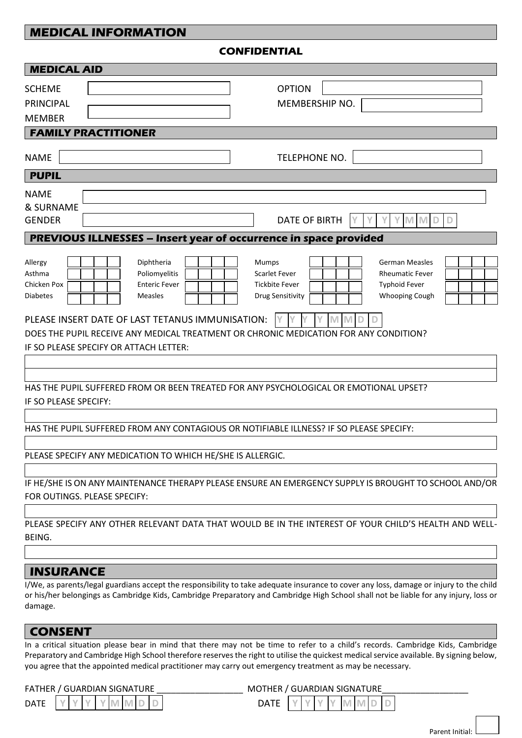### **MEDICAL INFORMATION**

**CONFIDENTIAL**

| <b>MEDICAL AID</b>                                                                                                           |                                                                                                                                                                                                                                                                                |
|------------------------------------------------------------------------------------------------------------------------------|--------------------------------------------------------------------------------------------------------------------------------------------------------------------------------------------------------------------------------------------------------------------------------|
| <b>SCHEME</b><br><b>PRINCIPAL</b><br><b>MEMBER</b>                                                                           | <b>OPTION</b><br>MEMBERSHIP NO.                                                                                                                                                                                                                                                |
| <b>FAMILY PRACTITIONER</b>                                                                                                   |                                                                                                                                                                                                                                                                                |
| <b>NAME</b>                                                                                                                  | TELEPHONE NO.                                                                                                                                                                                                                                                                  |
| <b>PUPIL</b>                                                                                                                 |                                                                                                                                                                                                                                                                                |
| <b>NAME</b><br>& SURNAME<br><b>GENDER</b>                                                                                    | <b>DATE OF BIRTH</b><br>M                                                                                                                                                                                                                                                      |
| PREVIOUS ILLNESSES - Insert year of occurrence in space provided                                                             |                                                                                                                                                                                                                                                                                |
| Diphtheria<br>Allergy<br>Poliomyelitis<br>Asthma<br><b>Enteric Fever</b><br>Chicken Pox<br><b>Measles</b><br><b>Diabetes</b> | Mumps<br><b>German Measles</b><br>Scarlet Fever<br><b>Rheumatic Fever</b><br><b>Tickbite Fever</b><br><b>Typhoid Fever</b><br><b>Whooping Cough</b><br>Drug Sensitivity                                                                                                        |
| PLEASE INSERT DATE OF LAST TETANUS IMMUNISATION:<br>IF SO PLEASE SPECIFY OR ATTACH LETTER:                                   | DOES THE PUPIL RECEIVE ANY MEDICAL TREATMENT OR CHRONIC MEDICATION FOR ANY CONDITION?                                                                                                                                                                                          |
| IF SO PLEASE SPECIFY:                                                                                                        | HAS THE PUPIL SUFFERED FROM OR BEEN TREATED FOR ANY PSYCHOLOGICAL OR EMOTIONAL UPSET?                                                                                                                                                                                          |
|                                                                                                                              | HAS THE PUPIL SUFFERED FROM ANY CONTAGIOUS OR NOTIFIABLE ILLNESS? IF SO PLEASE SPECIFY:                                                                                                                                                                                        |
| PLEASE SPECIFY ANY MEDICATION TO WHICH HE/SHE IS ALLERGIC.                                                                   |                                                                                                                                                                                                                                                                                |
| FOR OUTINGS. PLEASE SPECIFY:                                                                                                 | IF HE/SHE IS ON ANY MAINTENANCE THERAPY PLEASE ENSURE AN EMERGENCY SUPPLY IS BROUGHT TO SCHOOL AND/OR                                                                                                                                                                          |
| BEING.                                                                                                                       | PLEASE SPECIFY ANY OTHER RELEVANT DATA THAT WOULD BE IN THE INTEREST OF YOUR CHILD'S HEALTH AND WELL-                                                                                                                                                                          |
| <b>INSURANCE</b>                                                                                                             |                                                                                                                                                                                                                                                                                |
| damage.                                                                                                                      | I/We, as parents/legal guardians accept the responsibility to take adequate insurance to cover any loss, damage or injury to the child<br>or his/her belongings as Cambridge Kids, Cambridge Preparatory and Cambridge High School shall not be liable for any injury, loss or |

### **CONSENT**

In a critical situation please bear in mind that there may not be time to refer to a child's records. Cambridge Kids, Cambridge Preparatory and Cambridge High School therefore reserves the right to utilise the quickest medical service available. By signing below, you agree that the appointed medical practitioner may carry out emergency treatment as may be necessary.

| $\sim$<br>4 I N<br>IN.<br>--<br>DA<br><b>DATE</b><br>v<br>- II 1 1 1 1 |
|------------------------------------------------------------------------|
|------------------------------------------------------------------------|

### FATHER / GUARDIAN SIGNATURE \_\_\_\_\_\_\_\_\_\_\_\_\_\_\_\_\_\_\_\_\_\_\_\_ MOTHER / GUARDIAN SIGNATURE

| JА<br>$\cdot$ $\cdot$ $\cdot$ |  |  |  |  |
|-------------------------------|--|--|--|--|

Parent Initial: